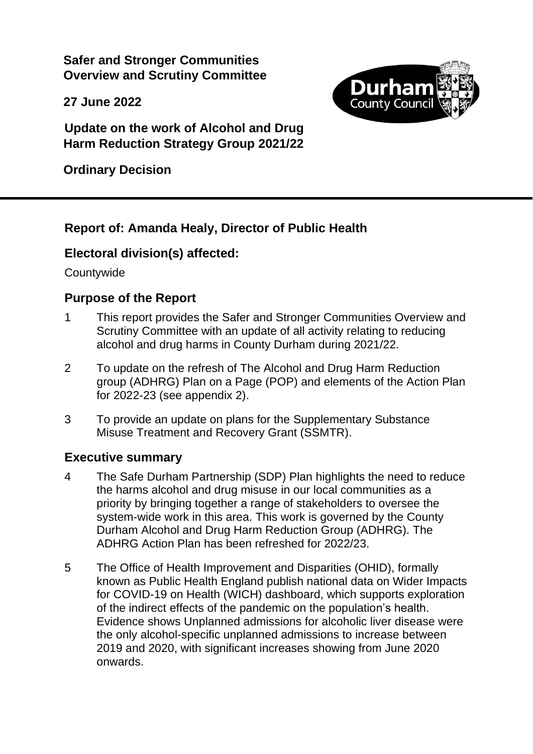**Safer and Stronger Communities Overview and Scrutiny Committee**

**27 June 2022**



**Update on the work of Alcohol and Drug Harm Reduction Strategy Group 2021/22**

**Ordinary Decision**

# **Report of: Amanda Healy, Director of Public Health**

# **Electoral division(s) affected:**

**Countywide** 

### **Purpose of the Report**

- 1 This report provides the Safer and Stronger Communities Overview and Scrutiny Committee with an update of all activity relating to reducing alcohol and drug harms in County Durham during 2021/22.
- 2 To update on the refresh of The Alcohol and Drug Harm Reduction group (ADHRG) Plan on a Page (POP) and elements of the Action Plan for 2022-23 (see appendix 2).
- 3 To provide an update on plans for the Supplementary Substance Misuse Treatment and Recovery Grant (SSMTR).

# **Executive summary**

- 4 The Safe Durham Partnership (SDP) Plan highlights the need to reduce the harms alcohol and drug misuse in our local communities as a priority by bringing together a range of stakeholders to oversee the system-wide work in this area. This work is governed by the County Durham Alcohol and Drug Harm Reduction Group (ADHRG). The ADHRG Action Plan has been refreshed for 2022/23.
- 5 The Office of Health Improvement and Disparities (OHID), formally known as Public Health England publish national data on Wider Impacts for COVID-19 on Health (WICH) dashboard, which supports exploration of the indirect effects of the pandemic on the population's health. Evidence shows Unplanned admissions for alcoholic liver disease were the only alcohol-specific unplanned admissions to increase between 2019 and 2020, with significant increases showing from June 2020 onwards.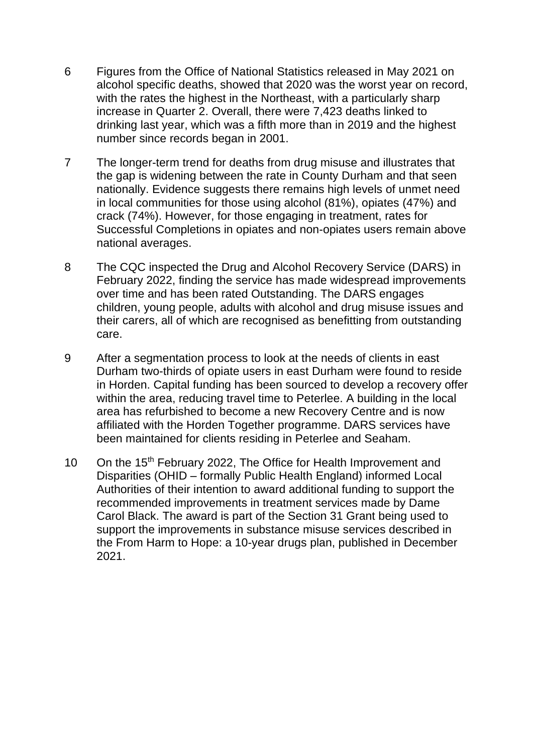- 6 Figures from the Office of National Statistics released in May 2021 on alcohol specific deaths, showed that 2020 was the worst year on record, with the rates the highest in the Northeast, with a particularly sharp increase in Quarter 2. Overall, there were 7,423 deaths linked to drinking last year, which was a fifth more than in 2019 and the highest number since records began in 2001.
- 7 The longer-term trend for deaths from drug misuse and illustrates that the gap is widening between the rate in County Durham and that seen nationally. Evidence suggests there remains high levels of unmet need in local communities for those using alcohol (81%), opiates (47%) and crack (74%). However, for those engaging in treatment, rates for Successful Completions in opiates and non-opiates users remain above national averages.
- 8 The CQC inspected the Drug and Alcohol Recovery Service (DARS) in February 2022, finding the service has made widespread improvements over time and has been rated Outstanding. The DARS engages children, young people, adults with alcohol and drug misuse issues and their carers, all of which are recognised as benefitting from outstanding care.
- 9 After a segmentation process to look at the needs of clients in east Durham two-thirds of opiate users in east Durham were found to reside in Horden. Capital funding has been sourced to develop a recovery offer within the area, reducing travel time to Peterlee. A building in the local area has refurbished to become a new Recovery Centre and is now affiliated with the Horden Together programme. DARS services have been maintained for clients residing in Peterlee and Seaham.
- 10 On the 15<sup>th</sup> February 2022, The Office for Health Improvement and Disparities (OHID – formally Public Health England) informed Local Authorities of their intention to award additional funding to support the recommended improvements in treatment services made by Dame Carol Black. The award is part of the Section 31 Grant being used to support the improvements in substance misuse services described in the From Harm to Hope: a 10-year drugs plan, published in December 2021.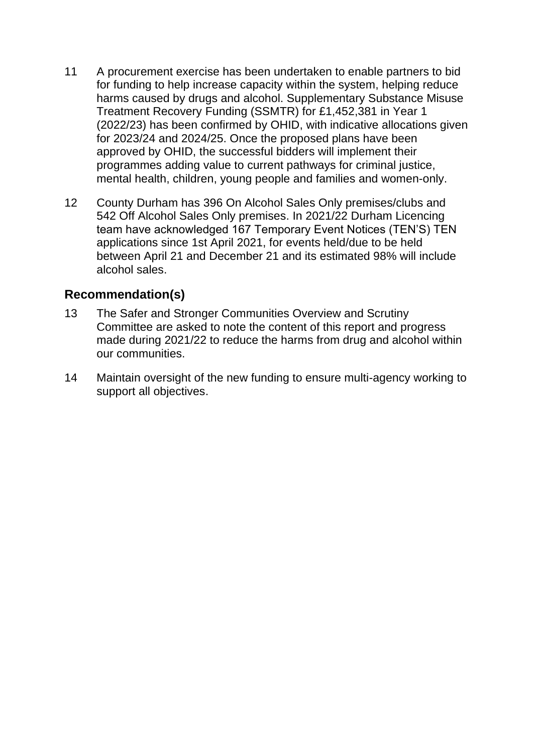- 11 A procurement exercise has been undertaken to enable partners to bid for funding to help increase capacity within the system, helping reduce harms caused by drugs and alcohol. Supplementary Substance Misuse Treatment Recovery Funding (SSMTR) for £1,452,381 in Year 1 (2022/23) has been confirmed by OHID, with indicative allocations given for 2023/24 and 2024/25. Once the proposed plans have been approved by OHID, the successful bidders will implement their programmes adding value to current pathways for criminal justice, mental health, children, young people and families and women-only.
- 12 County Durham has 396 On Alcohol Sales Only premises/clubs and 542 Off Alcohol Sales Only premises. In 2021/22 Durham Licencing team have acknowledged 167 Temporary Event Notices (TEN'S) TEN applications since 1st April 2021, for events held/due to be held between April 21 and December 21 and its estimated 98% will include alcohol sales.

# **Recommendation(s)**

- 13 The Safer and Stronger Communities Overview and Scrutiny Committee are asked to note the content of this report and progress made during 2021/22 to reduce the harms from drug and alcohol within our communities.
- 14 Maintain oversight of the new funding to ensure multi-agency working to support all objectives.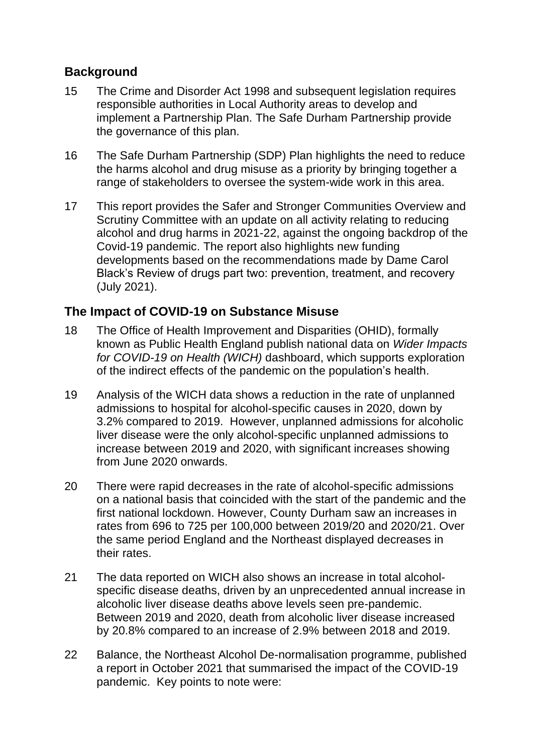# **Background**

- 15 The Crime and Disorder Act 1998 and subsequent legislation requires responsible authorities in Local Authority areas to develop and implement a Partnership Plan. The Safe Durham Partnership provide the governance of this plan.
- 16 The Safe Durham Partnership (SDP) Plan highlights the need to reduce the harms alcohol and drug misuse as a priority by bringing together a range of stakeholders to oversee the system-wide work in this area.
- 17 This report provides the Safer and Stronger Communities Overview and Scrutiny Committee with an update on all activity relating to reducing alcohol and drug harms in 2021-22, against the ongoing backdrop of the Covid-19 pandemic. The report also highlights new funding developments based on the recommendations made by Dame Carol Black's Review of drugs part two: prevention, treatment, and recovery (July 2021).

# **The Impact of COVID-19 on Substance Misuse**

- 18 The Office of Health Improvement and Disparities (OHID), formally known as Public Health England publish national data on *Wider Impacts for COVID-19 on Health (WICH)* dashboard, which supports exploration of the indirect effects of the pandemic on the population's health.
- 19 Analysis of the WICH data shows a reduction in the rate of unplanned admissions to hospital for alcohol-specific causes in 2020, down by 3.2% compared to 2019. However, unplanned admissions for alcoholic liver disease were the only alcohol-specific unplanned admissions to increase between 2019 and 2020, with significant increases showing from June 2020 onwards.
- 20 There were rapid decreases in the rate of alcohol-specific admissions on a national basis that coincided with the start of the pandemic and the first national lockdown. However, County Durham saw an increases in rates from 696 to 725 per 100,000 between 2019/20 and 2020/21. Over the same period England and the Northeast displayed decreases in their rates.
- 21 The data reported on WICH also shows an increase in total alcoholspecific disease deaths, driven by an unprecedented annual increase in alcoholic liver disease deaths above levels seen pre-pandemic. Between 2019 and 2020, death from alcoholic liver disease increased by 20.8% compared to an increase of 2.9% between 2018 and 2019.
- 22 Balance, the Northeast Alcohol De-normalisation programme, published a report in October 2021 that summarised the impact of the COVID-19 pandemic. Key points to note were: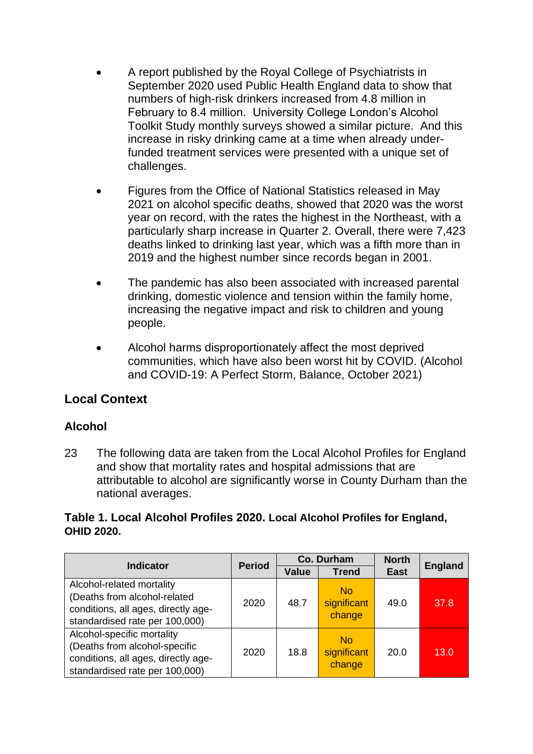- A report published by the Royal College of Psychiatrists in September 2020 used Public Health England data to show that numbers of high-risk drinkers increased from 4.8 million in February to 8.4 million. University College London's Alcohol Toolkit Study monthly surveys showed a similar picture. And this increase in risky drinking came at a time when already underfunded treatment services were presented with a unique set of challenges.
- Figures from the Office of National Statistics released in May 2021 on alcohol specific deaths, showed that 2020 was the worst year on record, with the rates the highest in the Northeast, with a particularly sharp increase in Quarter 2. Overall, there were 7,423 deaths linked to drinking last year, which was a fifth more than in 2019 and the highest number since records began in 2001.
- The pandemic has also been associated with increased parental drinking, domestic violence and tension within the family home, increasing the negative impact and risk to children and young people.
- Alcohol harms disproportionately affect the most deprived communities, which have also been worst hit by COVID. (Alcohol and COVID-19: A Perfect Storm, Balance, October 2021)

# **Local Context**

### **Alcohol**

23 The following data are taken from the Local Alcohol Profiles for England and show that mortality rates and hospital admissions that are attributable to alcohol are significantly worse in County Durham than the national averages.

### **Table 1. Local Alcohol Profiles 2020. Local Alcohol Profiles for England, OHID 2020.**

| <b>Indicator</b>                                                                                                                     |               | Co. Durham | <b>North</b>                       | <b>England</b> |      |  |
|--------------------------------------------------------------------------------------------------------------------------------------|---------------|------------|------------------------------------|----------------|------|--|
|                                                                                                                                      | <b>Period</b> |            | <b>Trend</b>                       | <b>East</b>    |      |  |
| Alcohol-related mortality<br>(Deaths from alcohol-related<br>conditions, all ages, directly age-<br>standardised rate per 100,000)   | 2020          | 48.7       | <b>No</b><br>significant<br>change | 49.0           | 37.8 |  |
| Alcohol-specific mortality<br>(Deaths from alcohol-specific<br>conditions, all ages, directly age-<br>standardised rate per 100,000) | 2020          | 18.8       | <b>No</b><br>significant<br>change | 20.0           | 13.0 |  |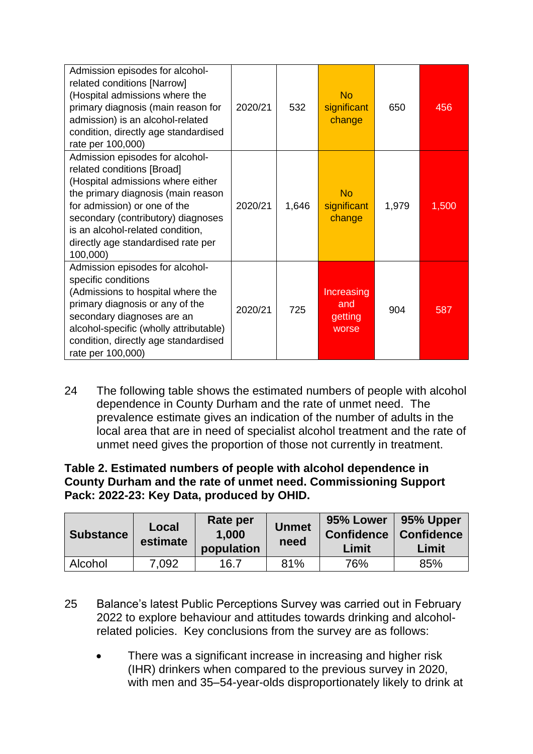| Admission episodes for alcohol-<br>related conditions [Narrow]<br>(Hospital admissions where the<br>primary diagnosis (main reason for<br>admission) is an alcohol-related<br>condition, directly age standardised<br>rate per 100,000)                                                              | 2020/21 | 532   | <b>No</b><br>significant<br>change    | 650   | 456   |
|------------------------------------------------------------------------------------------------------------------------------------------------------------------------------------------------------------------------------------------------------------------------------------------------------|---------|-------|---------------------------------------|-------|-------|
| Admission episodes for alcohol-<br>related conditions [Broad]<br>(Hospital admissions where either<br>the primary diagnosis (main reason<br>for admission) or one of the<br>secondary (contributory) diagnoses<br>is an alcohol-related condition,<br>directly age standardised rate per<br>100,000) | 2020/21 | 1,646 | <b>No</b><br>significant<br>change    | 1,979 | 1,500 |
| Admission episodes for alcohol-<br>specific conditions<br>(Admissions to hospital where the<br>primary diagnosis or any of the<br>secondary diagnoses are an<br>alcohol-specific (wholly attributable)<br>condition, directly age standardised<br>rate per 100,000)                                  | 2020/21 | 725   | Increasing<br>and<br>getting<br>worse | 904   | 587   |

24 The following table shows the estimated numbers of people with alcohol dependence in County Durham and the rate of unmet need. The prevalence estimate gives an indication of the number of adults in the local area that are in need of specialist alcohol treatment and the rate of unmet need gives the proportion of those not currently in treatment.

### **Table 2. Estimated numbers of people with alcohol dependence in County Durham and the rate of unmet need. Commissioning Support Pack: 2022-23: Key Data, produced by OHID.**

| <b>Substance</b> | Local<br>estimate | Rate per<br>1.000<br>population | <b>Unmet</b><br>need | 95% Lower<br><b>Confidence</b><br>Limit | 95% Upper<br><b>Confidence</b><br>Limit |
|------------------|-------------------|---------------------------------|----------------------|-----------------------------------------|-----------------------------------------|
| Alcohol          | 7,092             | 16.7                            | 81%                  | 76%                                     | 85%                                     |

25 Balance's latest Public Perceptions Survey was carried out in February 2022 to explore behaviour and attitudes towards drinking and alcoholrelated policies. Key conclusions from the survey are as follows:

There was a significant increase in increasing and higher risk (IHR) drinkers when compared to the previous survey in 2020, with men and 35–54-year-olds disproportionately likely to drink at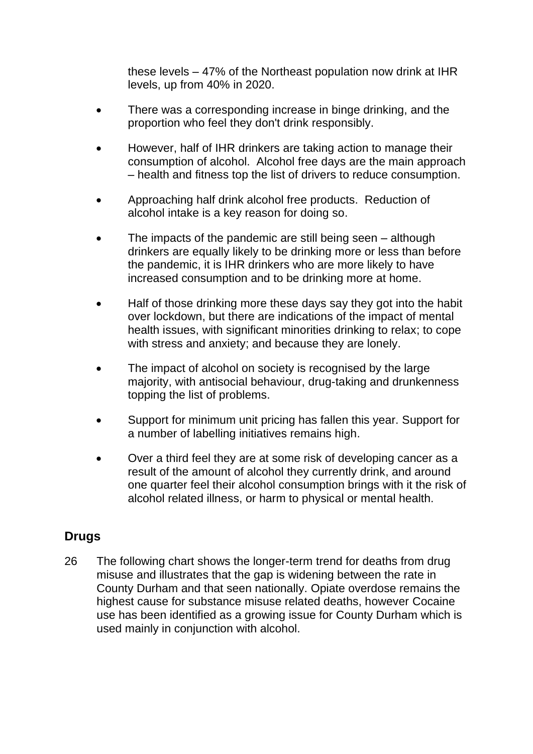these levels – 47% of the Northeast population now drink at IHR levels, up from 40% in 2020.

- There was a corresponding increase in binge drinking, and the proportion who feel they don't drink responsibly.
- However, half of IHR drinkers are taking action to manage their consumption of alcohol. Alcohol free days are the main approach – health and fitness top the list of drivers to reduce consumption.
- Approaching half drink alcohol free products. Reduction of alcohol intake is a key reason for doing so.
- The impacts of the pandemic are still being seen although drinkers are equally likely to be drinking more or less than before the pandemic, it is IHR drinkers who are more likely to have increased consumption and to be drinking more at home.
- Half of those drinking more these days say they got into the habit over lockdown, but there are indications of the impact of mental health issues, with significant minorities drinking to relax; to cope with stress and anxiety; and because they are lonely.
- The impact of alcohol on society is recognised by the large majority, with antisocial behaviour, drug-taking and drunkenness topping the list of problems.
- Support for minimum unit pricing has fallen this year. Support for a number of labelling initiatives remains high.
- Over a third feel they are at some risk of developing cancer as a result of the amount of alcohol they currently drink, and around one quarter feel their alcohol consumption brings with it the risk of alcohol related illness, or harm to physical or mental health.

# **Drugs**

26 The following chart shows the longer-term trend for deaths from drug misuse and illustrates that the gap is widening between the rate in County Durham and that seen nationally. Opiate overdose remains the highest cause for substance misuse related deaths, however Cocaine use has been identified as a growing issue for County Durham which is used mainly in conjunction with alcohol.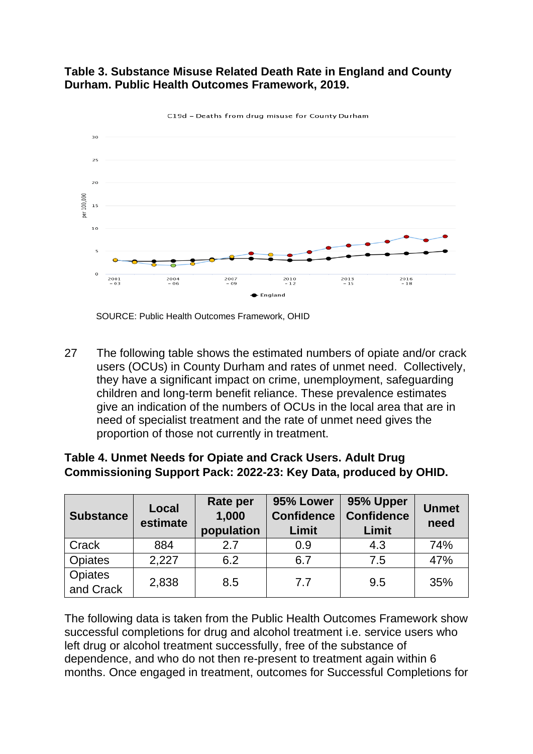### **Table 3. Substance Misuse Related Death Rate in England and County Durham. Public Health Outcomes Framework, 2019.**



C19d - Deaths from drug misuse for County Durham

**Opiates** 

27 The following table shows the estimated numbers of opiate and/or crack users (OCUs) in County Durham and rates of unmet need. Collectively, they have a significant impact on crime, unemployment, safeguarding children and long-term benefit reliance. These prevalence estimates give an indication of the numbers of OCUs in the local area that are in need of specialist treatment and the rate of unmet need gives the proportion of those not currently in treatment.

| Commissioning Support Pack: 2022-23: Key Data, produced by OHID. |                   |                                 |                                         |                                         |                      |  |  |  |  |  |
|------------------------------------------------------------------|-------------------|---------------------------------|-----------------------------------------|-----------------------------------------|----------------------|--|--|--|--|--|
| <b>Substance</b>                                                 | Local<br>estimate | Rate per<br>1,000<br>population | 95% Lower<br><b>Confidence</b><br>Limit | 95% Upper<br><b>Confidence</b><br>Limit | <b>Unmet</b><br>need |  |  |  |  |  |
| Crack                                                            | 884               | 27                              | 0.9                                     | 4.3                                     | 74%                  |  |  |  |  |  |
| <b>Opiates</b>                                                   | 2,227             | 6.2                             | 6.7                                     | 7.5                                     | 47%                  |  |  |  |  |  |

 $\frac{35}{2}$  2,838 8.5 7.7 9.5 35%

### **Table 4. Unmet Needs for Opiate and Crack Users. Adult Drug Commissioning Support Pack: 2022-23: Key Data, produced by OHID.**

The following data is taken from the Public Health Outcomes Framework show successful completions for drug and alcohol treatment i.e. service users who left drug or alcohol treatment successfully, free of the substance of dependence, and who do not then re-present to treatment again within 6 months. Once engaged in treatment, outcomes for Successful Completions for

SOURCE: Public Health Outcomes Framework, OHID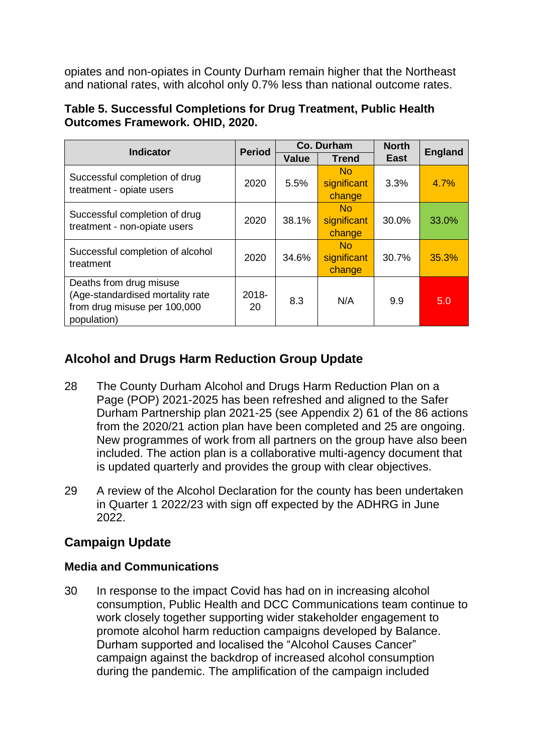opiates and non-opiates in County Durham remain higher that the Northeast and national rates, with alcohol only 0.7% less than national outcome rates.

| Table 5. Successful Completions for Drug Treatment, Public Health |  |
|-------------------------------------------------------------------|--|
| <b>Outcomes Framework. OHID, 2020.</b>                            |  |

|                                                                                                            | Co. Durham<br><b>Period</b><br><b>Indicator</b> |              |                                         |             | <b>England</b> |  |
|------------------------------------------------------------------------------------------------------------|-------------------------------------------------|--------------|-----------------------------------------|-------------|----------------|--|
|                                                                                                            |                                                 | <b>Value</b> | <b>Trend</b>                            | <b>East</b> |                |  |
| Successful completion of drug<br>treatment - opiate users                                                  | 2020                                            | 5.5%         | N <sub>0</sub><br>significant<br>change | 3.3%        |                |  |
| Successful completion of drug<br>treatment - non-opiate users                                              | 2020                                            | 38.1%        | No.<br>significant<br>change            | 30.0%       | 33.0%          |  |
| Successful completion of alcohol<br>treatment                                                              | 2020                                            | 34.6%        | N <sub>0</sub><br>significant<br>change | 30.7%       | 35.3%          |  |
| Deaths from drug misuse<br>(Age-standardised mortality rate<br>from drug misuse per 100,000<br>population) | 2018-<br>8.3<br>20                              |              | N/A                                     | 9.9         | 5.0            |  |

# **Alcohol and Drugs Harm Reduction Group Update**

- 28 The County Durham Alcohol and Drugs Harm Reduction Plan on a Page (POP) 2021-2025 has been refreshed and aligned to the Safer Durham Partnership plan 2021-25 (see Appendix 2) 61 of the 86 actions from the 2020/21 action plan have been completed and 25 are ongoing. New programmes of work from all partners on the group have also been included. The action plan is a collaborative multi-agency document that is updated quarterly and provides the group with clear objectives.
- 29 A review of the Alcohol Declaration for the county has been undertaken in Quarter 1 2022/23 with sign off expected by the ADHRG in June 2022.

# **Campaign Update**

# **Media and Communications**

30 In response to the impact Covid has had on in increasing alcohol consumption, Public Health and DCC Communications team continue to work closely together supporting wider stakeholder engagement to promote alcohol harm reduction campaigns developed by Balance. Durham supported and localised the "Alcohol Causes Cancer" campaign against the backdrop of increased alcohol consumption during the pandemic. The amplification of the campaign included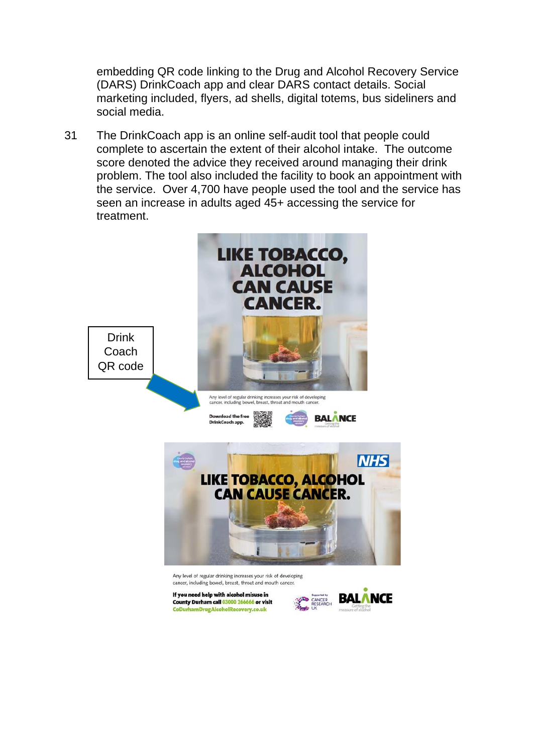embedding QR code linking to the Drug and Alcohol Recovery Service (DARS) DrinkCoach app and clear DARS contact details. Social marketing included, flyers, ad shells, digital totems, bus sideliners and social media.

31 The DrinkCoach app is an online self-audit tool that people could complete to ascertain the extent of their alcohol intake. The outcome score denoted the advice they received around managing their drink problem. The tool also included the facility to book an appointment with the service. Over 4,700 have people used the tool and the service has seen an increase in adults aged 45+ accessing the service for treatment.

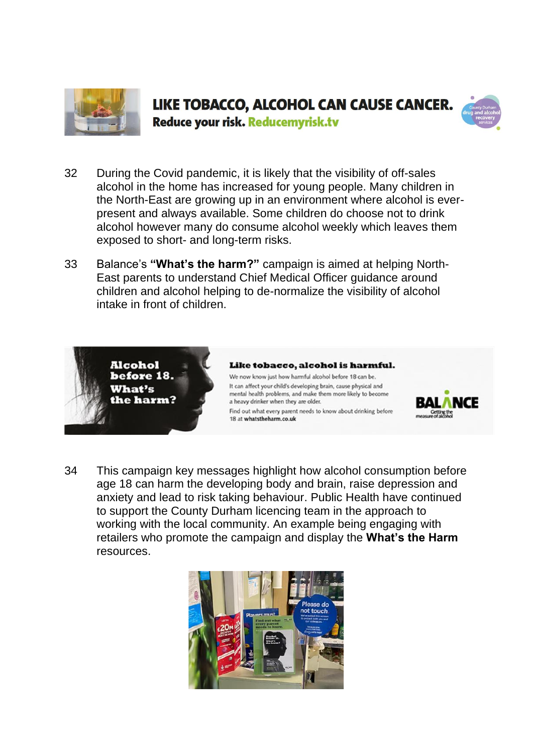



Reduce your risk. Reducemyrisk.tv

- 32 During the Covid pandemic, it is likely that the visibility of off-sales alcohol in the home has increased for young people. Many children in the North-East are growing up in an environment where alcohol is everpresent and always available. Some children do choose not to drink alcohol however many do consume alcohol weekly which leaves them exposed to short- and long-term risks.
- 33 Balance's **"What's the harm?"** campaign is aimed at helping North-East parents to understand Chief Medical Officer guidance around children and alcohol helping to de-normalize the visibility of alcohol intake in front of children.



#### Like tobacco, alcohol is harmful.

We now know just how harmful alcohol before 18 can be. It can affect your child's developing brain, cause physical and mental health problems, and make them more likely to become a heavy drinker when they are older.

Find out what every parent needs to know about drinking before 18 at whatstheharm.co.uk



34 This campaign key messages highlight how alcohol consumption before age 18 can harm the developing body and brain, raise depression and anxiety and lead to risk taking behaviour. Public Health have continued to support the County Durham licencing team in the approach to working with the local community. An example being engaging with retailers who promote the campaign and display the **What's the Harm** resources.

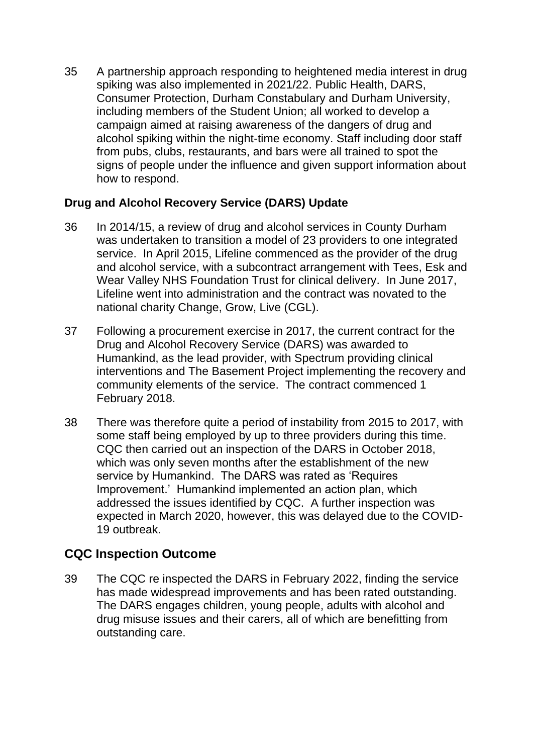35 A partnership approach responding to heightened media interest in drug spiking was also implemented in 2021/22. Public Health, DARS, Consumer Protection, Durham Constabulary and Durham University, including members of the Student Union; all worked to develop a campaign aimed at raising awareness of the dangers of drug and alcohol spiking within the night-time economy. Staff including door staff from pubs, clubs, restaurants, and bars were all trained to spot the signs of people under the influence and given support information about how to respond.

### **Drug and Alcohol Recovery Service (DARS) Update**

- 36 In 2014/15, a review of drug and alcohol services in County Durham was undertaken to transition a model of 23 providers to one integrated service. In April 2015, Lifeline commenced as the provider of the drug and alcohol service, with a subcontract arrangement with Tees, Esk and Wear Valley NHS Foundation Trust for clinical delivery. In June 2017, Lifeline went into administration and the contract was novated to the national charity Change, Grow, Live (CGL).
- 37 Following a procurement exercise in 2017, the current contract for the Drug and Alcohol Recovery Service (DARS) was awarded to Humankind, as the lead provider, with Spectrum providing clinical interventions and The Basement Project implementing the recovery and community elements of the service. The contract commenced 1 February 2018.
- 38 There was therefore quite a period of instability from 2015 to 2017, with some staff being employed by up to three providers during this time. CQC then carried out an inspection of the DARS in October 2018, which was only seven months after the establishment of the new service by Humankind. The DARS was rated as 'Requires Improvement.' Humankind implemented an action plan, which addressed the issues identified by CQC. A further inspection was expected in March 2020, however, this was delayed due to the COVID-19 outbreak.

# **CQC Inspection Outcome**

39 The CQC re inspected the DARS in February 2022, finding the service has made widespread improvements and has been rated outstanding. The DARS engages children, young people, adults with alcohol and drug misuse issues and their carers, all of which are benefitting from outstanding care.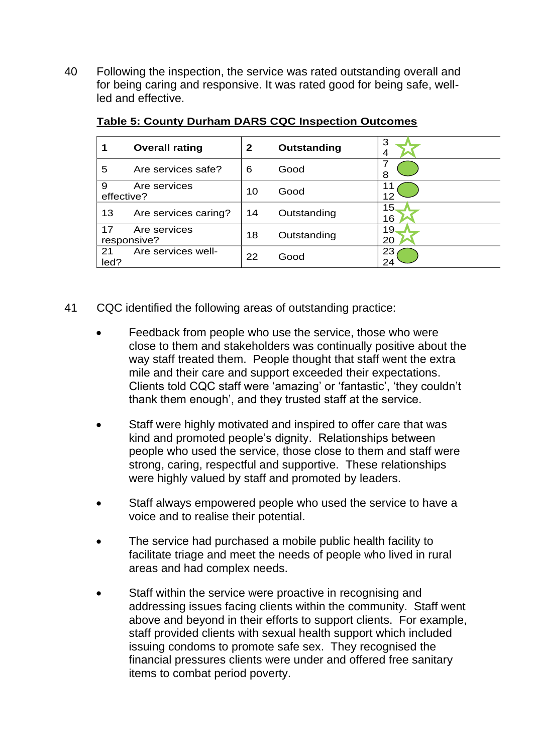40 Following the inspection, the service was rated outstanding overall and for being caring and responsive. It was rated good for being safe, wellled and effective.

|                 | <b>Overall rating</b>       | 2  | Outstanding | 3<br>4   |
|-----------------|-----------------------------|----|-------------|----------|
| 5               | Are services safe?          | 6  | Good        | 8        |
| 9<br>effective? | Are services                | 10 | Good        | 11<br>12 |
| 13              | Are services caring?        | 14 | Outstanding | 15<br>16 |
| 17              | Are services<br>responsive? | 18 | Outstanding | 19<br>20 |
| 21<br>led?      | Are services well-          | 22 | Good        | 23<br>24 |

#### **Table 5: County Durham DARS CQC Inspection Outcomes**

- 41 CQC identified the following areas of outstanding practice:
	- Feedback from people who use the service, those who were close to them and stakeholders was continually positive about the way staff treated them. People thought that staff went the extra mile and their care and support exceeded their expectations. Clients told CQC staff were 'amazing' or 'fantastic', 'they couldn't thank them enough', and they trusted staff at the service.
	- Staff were highly motivated and inspired to offer care that was kind and promoted people's dignity. Relationships between people who used the service, those close to them and staff were strong, caring, respectful and supportive. These relationships were highly valued by staff and promoted by leaders.
	- Staff always empowered people who used the service to have a voice and to realise their potential.
	- The service had purchased a mobile public health facility to facilitate triage and meet the needs of people who lived in rural areas and had complex needs.
	- Staff within the service were proactive in recognising and addressing issues facing clients within the community. Staff went above and beyond in their efforts to support clients. For example, staff provided clients with sexual health support which included issuing condoms to promote safe sex. They recognised the financial pressures clients were under and offered free sanitary items to combat period poverty.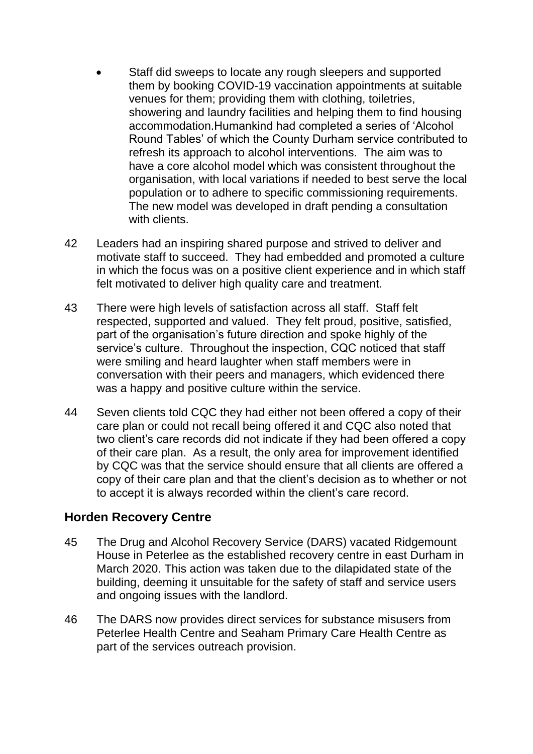- Staff did sweeps to locate any rough sleepers and supported them by booking COVID-19 vaccination appointments at suitable venues for them; providing them with clothing, toiletries, showering and laundry facilities and helping them to find housing accommodation.Humankind had completed a series of 'Alcohol Round Tables' of which the County Durham service contributed to refresh its approach to alcohol interventions. The aim was to have a core alcohol model which was consistent throughout the organisation, with local variations if needed to best serve the local population or to adhere to specific commissioning requirements. The new model was developed in draft pending a consultation with clients.
- 42 Leaders had an inspiring shared purpose and strived to deliver and motivate staff to succeed. They had embedded and promoted a culture in which the focus was on a positive client experience and in which staff felt motivated to deliver high quality care and treatment.
- 43 There were high levels of satisfaction across all staff. Staff felt respected, supported and valued. They felt proud, positive, satisfied, part of the organisation's future direction and spoke highly of the service's culture. Throughout the inspection, CQC noticed that staff were smiling and heard laughter when staff members were in conversation with their peers and managers, which evidenced there was a happy and positive culture within the service.
- 44 Seven clients told CQC they had either not been offered a copy of their care plan or could not recall being offered it and CQC also noted that two client's care records did not indicate if they had been offered a copy of their care plan. As a result, the only area for improvement identified by CQC was that the service should ensure that all clients are offered a copy of their care plan and that the client's decision as to whether or not to accept it is always recorded within the client's care record.

# **Horden Recovery Centre**

- 45 The Drug and Alcohol Recovery Service (DARS) vacated Ridgemount House in Peterlee as the established recovery centre in east Durham in March 2020. This action was taken due to the dilapidated state of the building, deeming it unsuitable for the safety of staff and service users and ongoing issues with the landlord.
- 46 The DARS now provides direct services for substance misusers from Peterlee Health Centre and Seaham Primary Care Health Centre as part of the services outreach provision.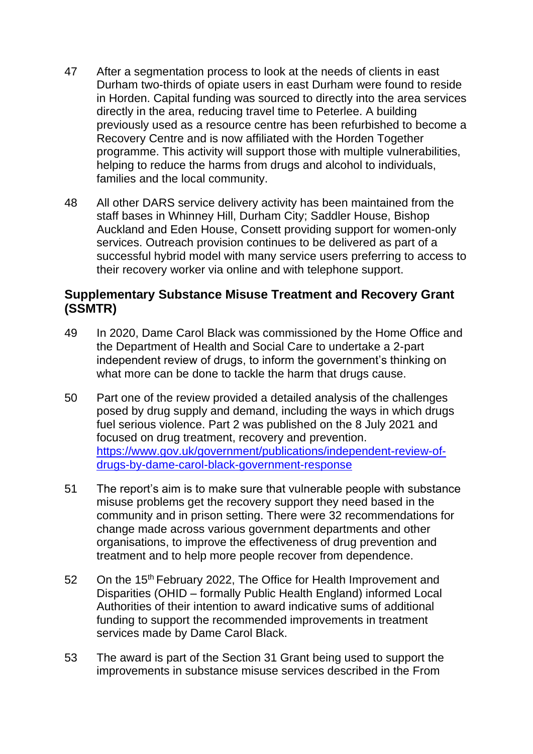- 47 After a segmentation process to look at the needs of clients in east Durham two-thirds of opiate users in east Durham were found to reside in Horden. Capital funding was sourced to directly into the area services directly in the area, reducing travel time to Peterlee. A building previously used as a resource centre has been refurbished to become a Recovery Centre and is now affiliated with the Horden Together programme. This activity will support those with multiple vulnerabilities, helping to reduce the harms from drugs and alcohol to individuals, families and the local community.
- 48 All other DARS service delivery activity has been maintained from the staff bases in Whinney Hill, Durham City; Saddler House, Bishop Auckland and Eden House, Consett providing support for women-only services. Outreach provision continues to be delivered as part of a successful hybrid model with many service users preferring to access to their recovery worker via online and with telephone support.

### **Supplementary Substance Misuse Treatment and Recovery Grant (SSMTR)**

- 49 In 2020, Dame Carol Black was commissioned by the Home Office and the Department of Health and Social Care to undertake a 2-part independent review of drugs, to inform the government's thinking on what more can be done to tackle the harm that drugs cause.
- 50 Part one of the review provided a detailed analysis of the challenges posed by drug supply and demand, including the ways in which drugs fuel serious violence. Part 2 was published on the 8 July 2021 and focused on drug treatment, recovery and prevention. [https://www.gov.uk/government/publications/independent-review-of](https://www.gov.uk/government/publications/independent-review-of-drugs-by-dame-carol-black-government-response)[drugs-by-dame-carol-black-government-response](https://www.gov.uk/government/publications/independent-review-of-drugs-by-dame-carol-black-government-response)
- 51 The report's aim is to make sure that vulnerable people with substance misuse problems get the recovery support they need based in the community and in prison setting. There were 32 recommendations for change made across various government departments and other organisations, to improve the effectiveness of drug prevention and treatment and to help more people recover from dependence.
- 52 On the 15<sup>th</sup> February 2022, The Office for Health Improvement and Disparities (OHID – formally Public Health England) informed Local Authorities of their intention to award indicative sums of additional funding to support the recommended improvements in treatment services made by Dame Carol Black.
- 53 The award is part of the Section 31 Grant being used to support the improvements in substance misuse services described in the From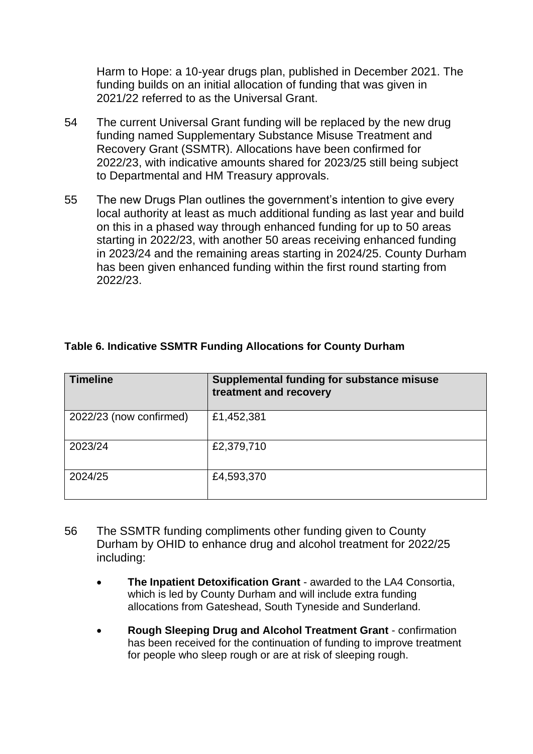Harm to Hope: a 10-year drugs plan, published in December 2021. The funding builds on an initial allocation of funding that was given in 2021/22 referred to as the Universal Grant.

- 54 The current Universal Grant funding will be replaced by the new drug funding named Supplementary Substance Misuse Treatment and Recovery Grant (SSMTR). Allocations have been confirmed for 2022/23, with indicative amounts shared for 2023/25 still being subject to Departmental and HM Treasury approvals.
- 55 The new Drugs Plan outlines the government's intention to give every local authority at least as much additional funding as last year and build on this in a phased way through enhanced funding for up to 50 areas starting in 2022/23, with another 50 areas receiving enhanced funding in 2023/24 and the remaining areas starting in 2024/25. County Durham has been given enhanced funding within the first round starting from 2022/23.

| <b>Timeline</b>         | <b>Supplemental funding for substance misuse</b><br>treatment and recovery |
|-------------------------|----------------------------------------------------------------------------|
| 2022/23 (now confirmed) | £1,452,381                                                                 |
| 2023/24                 | £2,379,710                                                                 |
| 2024/25                 | £4,593,370                                                                 |

### **Table 6. Indicative SSMTR Funding Allocations for County Durham**

- 56 The SSMTR funding compliments other funding given to County Durham by OHID to enhance drug and alcohol treatment for 2022/25 including:
	- **The Inpatient Detoxification Grant** awarded to the LA4 Consortia, which is led by County Durham and will include extra funding allocations from Gateshead, South Tyneside and Sunderland.
	- **Rough Sleeping Drug and Alcohol Treatment Grant** confirmation has been received for the continuation of funding to improve treatment for people who sleep rough or are at risk of sleeping rough.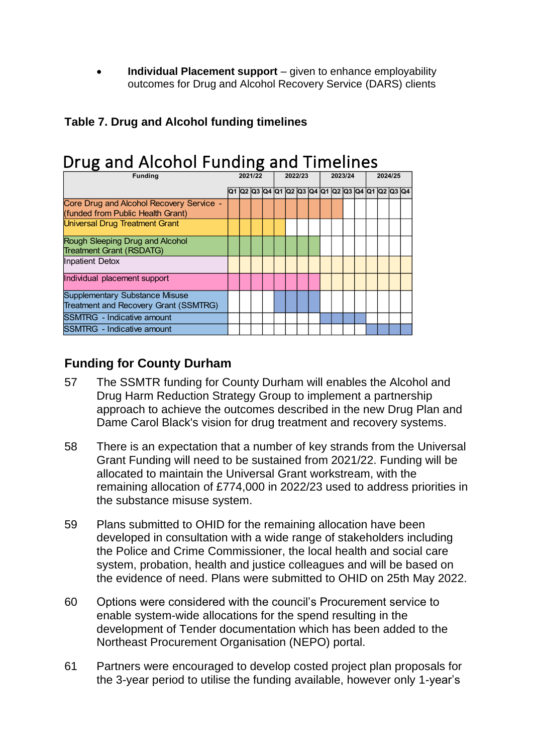• **Individual Placement support** – given to enhance employability outcomes for Drug and Alcohol Recovery Service (DARS) clients

# **Table 7. Drug and Alcohol funding timelines**

| Drug and Alcohol Funding and Timelines                                         |  |         |  |  |         |                                              |  |         |  |  |  |         |  |  |  |  |
|--------------------------------------------------------------------------------|--|---------|--|--|---------|----------------------------------------------|--|---------|--|--|--|---------|--|--|--|--|
| <b>Funding</b>                                                                 |  | 2021/22 |  |  | 2022/23 |                                              |  | 2023/24 |  |  |  | 2024/25 |  |  |  |  |
|                                                                                |  |         |  |  |         | 02 03 04 01 02 03 04 01 02 03 04 01 02 03 04 |  |         |  |  |  |         |  |  |  |  |
| Core Drug and Alcohol Recovery Service -<br>(funded from Public Health Grant)  |  |         |  |  |         |                                              |  |         |  |  |  |         |  |  |  |  |
| <b>Universal Drug Treatment Grant</b>                                          |  |         |  |  |         |                                              |  |         |  |  |  |         |  |  |  |  |
| Rough Sleeping Drug and Alcohol<br><b>Treatment Grant (RSDATG)</b>             |  |         |  |  |         |                                              |  |         |  |  |  |         |  |  |  |  |
| Inpatient Detox                                                                |  |         |  |  |         |                                              |  |         |  |  |  |         |  |  |  |  |
| Individual placement support                                                   |  |         |  |  |         |                                              |  |         |  |  |  |         |  |  |  |  |
| <b>Supplementary Substance Misuse</b><br>Treatment and Recovery Grant (SSMTRG) |  |         |  |  |         |                                              |  |         |  |  |  |         |  |  |  |  |
| <b>SSMTRG</b> - Indicative amount                                              |  |         |  |  |         |                                              |  |         |  |  |  |         |  |  |  |  |
| <b>SSMTRG</b> - Indicative amount                                              |  |         |  |  |         |                                              |  |         |  |  |  |         |  |  |  |  |

# **Funding for County Durham**

- 57 The SSMTR funding for County Durham will enables the Alcohol and Drug Harm Reduction Strategy Group to implement a partnership approach to achieve the outcomes described in the new Drug Plan and Dame Carol Black's vision for drug treatment and recovery systems.
- 58 There is an expectation that a number of key strands from the Universal Grant Funding will need to be sustained from 2021/22. Funding will be allocated to maintain the Universal Grant workstream, with the remaining allocation of £774,000 in 2022/23 used to address priorities in the substance misuse system.
- 59 Plans submitted to OHID for the remaining allocation have been developed in consultation with a wide range of stakeholders including the Police and Crime Commissioner, the local health and social care system, probation, health and justice colleagues and will be based on the evidence of need. Plans were submitted to OHID on 25th May 2022.
- 60 Options were considered with the council's Procurement service to enable system-wide allocations for the spend resulting in the development of Tender documentation which has been added to the Northeast Procurement Organisation (NEPO) portal.
- 61 Partners were encouraged to develop costed project plan proposals for the 3-year period to utilise the funding available, however only 1-year's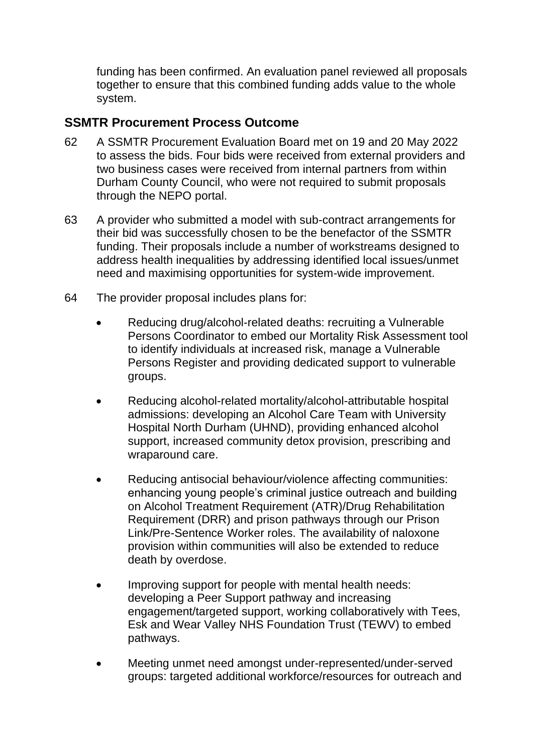funding has been confirmed. An evaluation panel reviewed all proposals together to ensure that this combined funding adds value to the whole system.

# **SSMTR Procurement Process Outcome**

- 62 A SSMTR Procurement Evaluation Board met on 19 and 20 May 2022 to assess the bids. Four bids were received from external providers and two business cases were received from internal partners from within Durham County Council, who were not required to submit proposals through the NEPO portal.
- 63 A provider who submitted a model with sub-contract arrangements for their bid was successfully chosen to be the benefactor of the SSMTR funding. Their proposals include a number of workstreams designed to address health inequalities by addressing identified local issues/unmet need and maximising opportunities for system-wide improvement.
- 64 The provider proposal includes plans for:
	- Reducing drug/alcohol-related deaths: recruiting a Vulnerable Persons Coordinator to embed our Mortality Risk Assessment tool to identify individuals at increased risk, manage a Vulnerable Persons Register and providing dedicated support to vulnerable groups.
	- Reducing alcohol-related mortality/alcohol-attributable hospital admissions: developing an Alcohol Care Team with University Hospital North Durham (UHND), providing enhanced alcohol support, increased community detox provision, prescribing and wraparound care.
	- Reducing antisocial behaviour/violence affecting communities: enhancing young people's criminal justice outreach and building on Alcohol Treatment Requirement (ATR)/Drug Rehabilitation Requirement (DRR) and prison pathways through our Prison Link/Pre-Sentence Worker roles. The availability of naloxone provision within communities will also be extended to reduce death by overdose.
	- Improving support for people with mental health needs: developing a Peer Support pathway and increasing engagement/targeted support, working collaboratively with Tees, Esk and Wear Valley NHS Foundation Trust (TEWV) to embed pathways.
	- Meeting unmet need amongst under-represented/under-served groups: targeted additional workforce/resources for outreach and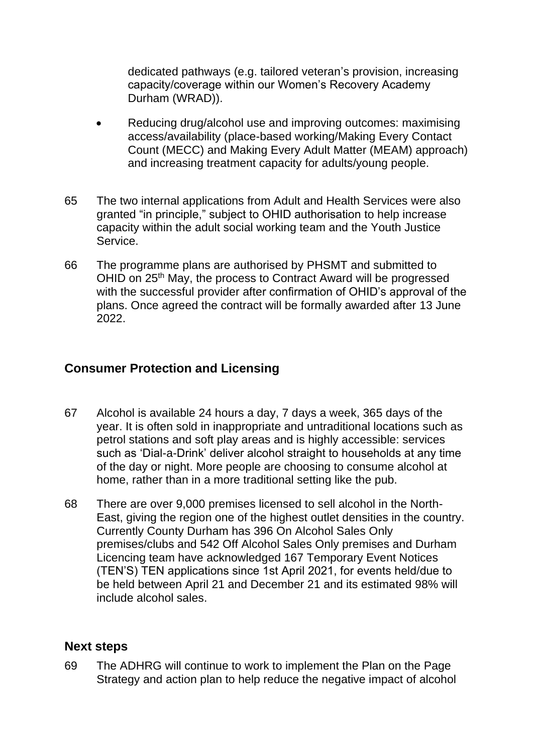dedicated pathways (e.g. tailored veteran's provision, increasing capacity/coverage within our Women's Recovery Academy Durham (WRAD)).

- Reducing drug/alcohol use and improving outcomes: maximising access/availability (place-based working/Making Every Contact Count (MECC) and Making Every Adult Matter (MEAM) approach) and increasing treatment capacity for adults/young people.
- 65 The two internal applications from Adult and Health Services were also granted "in principle," subject to OHID authorisation to help increase capacity within the adult social working team and the Youth Justice Service.
- 66 The programme plans are authorised by PHSMT and submitted to OHID on 25<sup>th</sup> May, the process to Contract Award will be progressed with the successful provider after confirmation of OHID's approval of the plans. Once agreed the contract will be formally awarded after 13 June 2022.

# **Consumer Protection and Licensing**

- 67 Alcohol is available 24 hours a day, 7 days a week, 365 days of the year. It is often sold in inappropriate and untraditional locations such as petrol stations and soft play areas and is highly accessible: services such as 'Dial-a-Drink' deliver alcohol straight to households at any time of the day or night. More people are choosing to consume alcohol at home, rather than in a more traditional setting like the pub.
- 68 There are over 9,000 premises licensed to sell alcohol in the North-East, giving the region one of the highest outlet densities in the country. Currently County Durham has 396 On Alcohol Sales Only premises/clubs and 542 Off Alcohol Sales Only premises and Durham Licencing team have acknowledged 167 Temporary Event Notices (TEN'S) TEN applications since 1st April 2021, for events held/due to be held between April 21 and December 21 and its estimated 98% will include alcohol sales.

# **Next steps**

69 The ADHRG will continue to work to implement the Plan on the Page Strategy and action plan to help reduce the negative impact of alcohol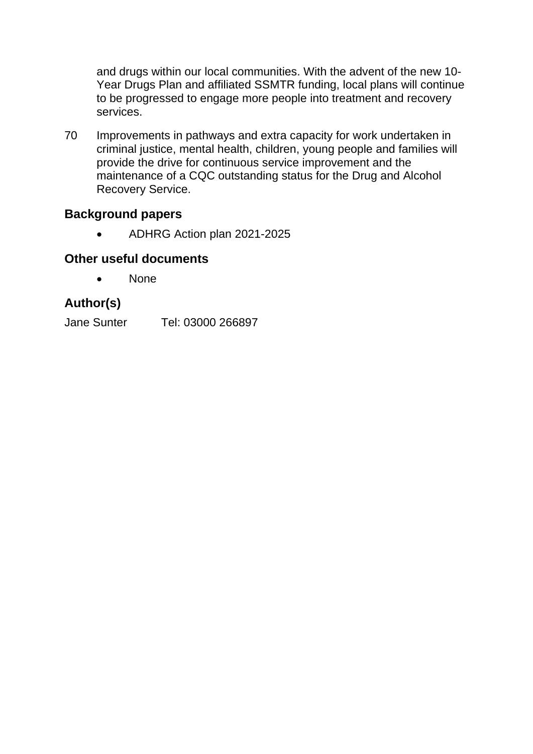and drugs within our local communities. With the advent of the new 10- Year Drugs Plan and affiliated SSMTR funding, local plans will continue to be progressed to engage more people into treatment and recovery services.

70 Improvements in pathways and extra capacity for work undertaken in criminal justice, mental health, children, young people and families will provide the drive for continuous service improvement and the maintenance of a CQC outstanding status for the Drug and Alcohol Recovery Service.

# **Background papers**

• ADHRG Action plan 2021-2025

### **Other useful documents**

• None

# **Author(s)**

Jane Sunter Tel: 03000 266897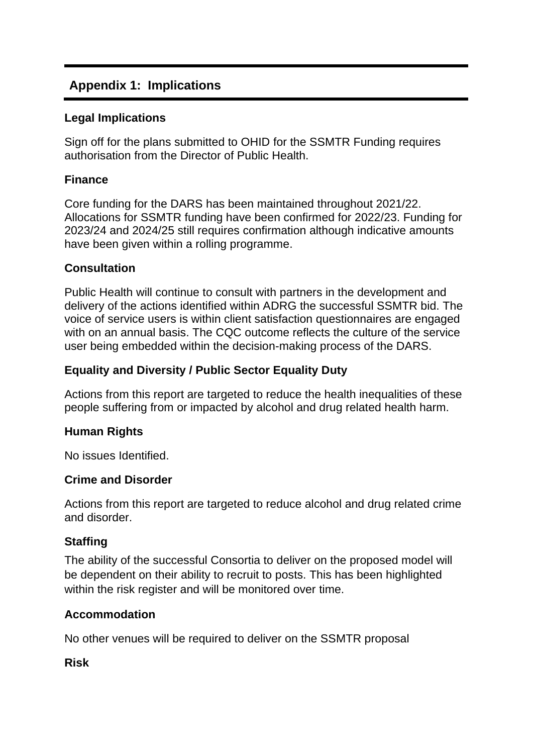# **Appendix 1: Implications**

### **Legal Implications**

Sign off for the plans submitted to OHID for the SSMTR Funding requires authorisation from the Director of Public Health.

### **Finance**

Core funding for the DARS has been maintained throughout 2021/22. Allocations for SSMTR funding have been confirmed for 2022/23. Funding for 2023/24 and 2024/25 still requires confirmation although indicative amounts have been given within a rolling programme.

### **Consultation**

Public Health will continue to consult with partners in the development and delivery of the actions identified within ADRG the successful SSMTR bid. The voice of service users is within client satisfaction questionnaires are engaged with on an annual basis. The CQC outcome reflects the culture of the service user being embedded within the decision-making process of the DARS.

### **Equality and Diversity / Public Sector Equality Duty**

Actions from this report are targeted to reduce the health inequalities of these people suffering from or impacted by alcohol and drug related health harm.

# **Human Rights**

No issues Identified.

### **Crime and Disorder**

Actions from this report are targeted to reduce alcohol and drug related crime and disorder.

### **Staffing**

The ability of the successful Consortia to deliver on the proposed model will be dependent on their ability to recruit to posts. This has been highlighted within the risk register and will be monitored over time.

### **Accommodation**

No other venues will be required to deliver on the SSMTR proposal

**Risk**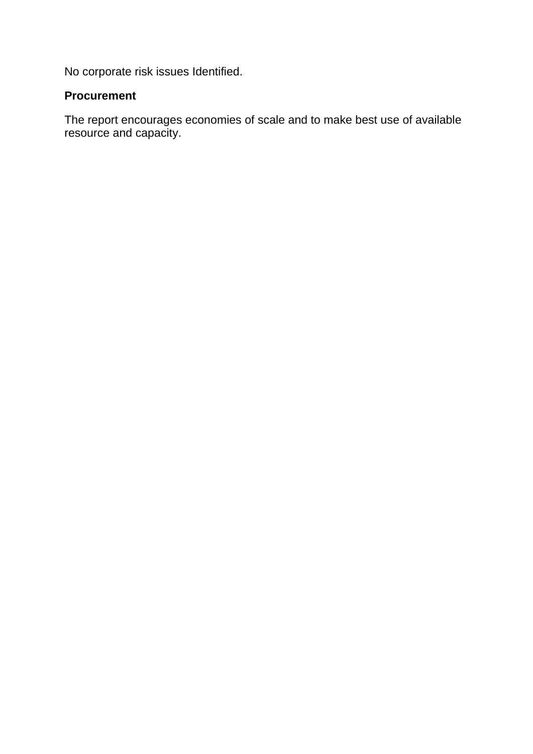No corporate risk issues Identified.

### **Procurement**

The report encourages economies of scale and to make best use of available resource and capacity.